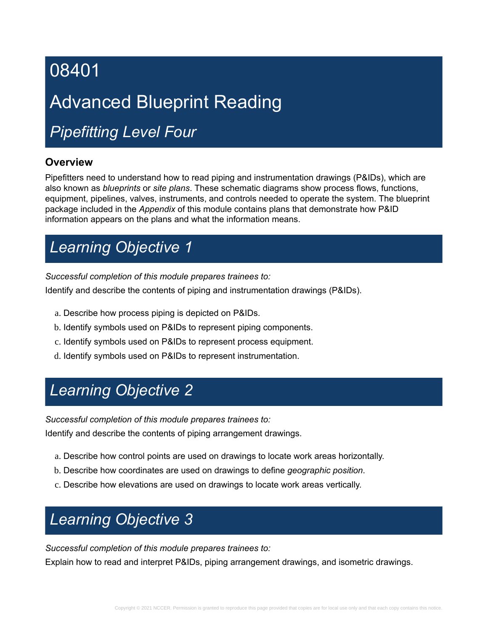# Advanced Blueprint Reading

# *Pipefitting Level Four*

### **Overview**

Pipefitters need to understand how to read piping and instrumentation drawings (P&IDs), which are also known as *blueprints* or *site plans*. These schematic diagrams show process flows, functions, equipment, pipelines, valves, instruments, and controls needed to operate the system. The blueprint package included in the *Appendix* of this module contains plans that demonstrate how P&ID information appears on the plans and what the information means.

# *Learning Objective 1*

*Successful completion of this module prepares trainees to:*

Identify and describe the contents of piping and instrumentation drawings (P&IDs).

- a. Describe how process piping is depicted on P&IDs.
- b. Identify symbols used on P&IDs to represent piping components.
- c. Identify symbols used on P&IDs to represent process equipment.
- d. Identify symbols used on P&IDs to represent instrumentation.

# *Learning Objective 2*

*Successful completion of this module prepares trainees to:*

Identify and describe the contents of piping arrangement drawings.

- a. Describe how control points are used on drawings to locate work areas horizontally.
- b. Describe how coordinates are used on drawings to define *geographic position*.
- c. Describe how elevations are used on drawings to locate work areas vertically.

# *Learning Objective 3*

*Successful completion of this module prepares trainees to:*

Explain how to read and interpret P&IDs, piping arrangement drawings, and isometric drawings.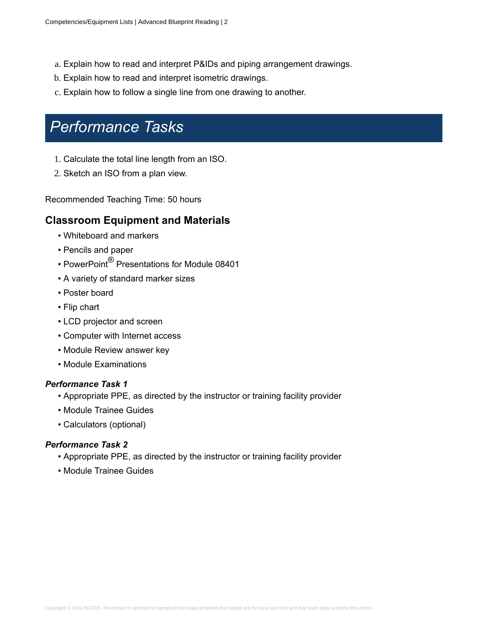- a. Explain how to read and interpret P&IDs and piping arrangement drawings.
- b. Explain how to read and interpret isometric drawings.
- c. Explain how to follow a single line from one drawing to another.

### *Performance Tasks*

- 1. Calculate the total line length from an ISO.
- 2. Sketch an ISO from a plan view.

Recommended Teaching Time: 50 hours

### **Classroom Equipment and Materials**

- Whiteboard and markers
- Pencils and paper
- PowerPoint ${}^{\circledR}$  Presentations for Module 08401
- A variety of standard marker sizes
- Poster board
- Flip chart
- LCD projector and screen
- Computer with Internet access
- Module Review answer key
- Module Examinations

#### *Performance Task 1*

- Appropriate PPE, as directed by the instructor or training facility provider
- Module Trainee Guides
- Calculators (optional)

- Appropriate PPE, as directed by the instructor or training facility provider
- Module Trainee Guides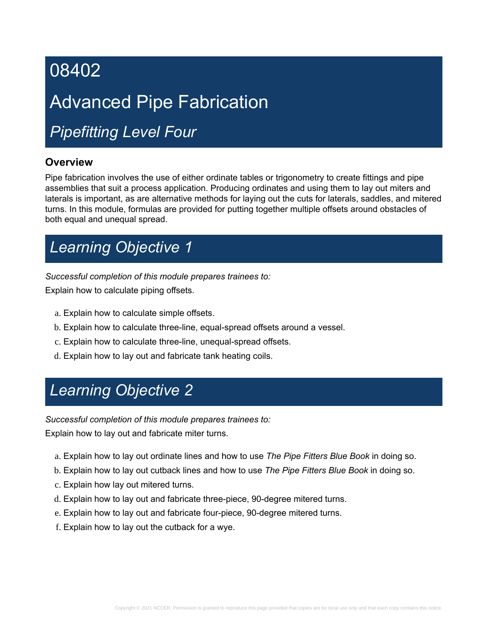# Advanced Pipe Fabrication

# *Pipefitting Level Four*

### **Overview**

Pipe fabrication involves the use of either ordinate tables or trigonometry to create fittings and pipe assemblies that suit a process application. Producing ordinates and using them to lay out miters and laterals is important, as are alternative methods for laying out the cuts for laterals, saddles, and mitered turns. In this module, formulas are provided for putting together multiple offsets around obstacles of both equal and unequal spread.

# *Learning Objective 1*

*Successful completion of this module prepares trainees to:*

Explain how to calculate piping offsets.

- a. Explain how to calculate simple offsets.
- b. Explain how to calculate three-line, equal-spread offsets around a vessel.
- c. Explain how to calculate three-line, unequal-spread offsets.
- d. Explain how to lay out and fabricate tank heating coils.

# *Learning Objective 2*

*Successful completion of this module prepares trainees to:*

Explain how to lay out and fabricate miter turns.

- a. Explain how to lay out ordinate lines and how to use *The Pipe Fitters Blue Book* in doing so.
- b. Explain how to lay out cutback lines and how to use *The Pipe Fitters Blue Book* in doing so.
- c. Explain how lay out mitered turns.
- d. Explain how to lay out and fabricate three-piece, 90-degree mitered turns.
- e. Explain how to lay out and fabricate four-piece, 90-degree mitered turns.
- f. Explain how to lay out the cutback for a wye.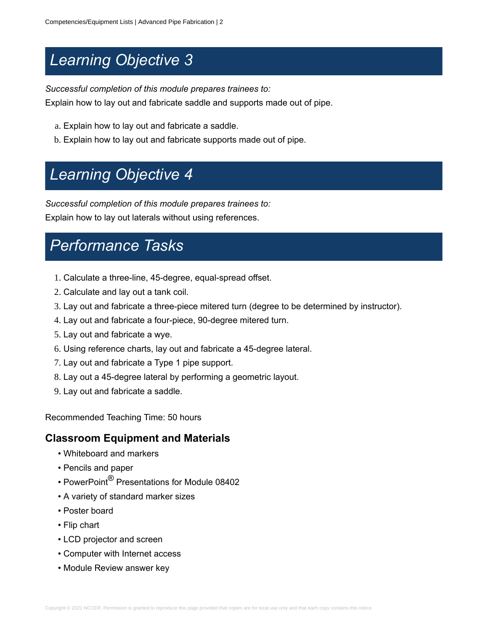# *Learning Objective 3*

*Successful completion of this module prepares trainees to:*

Explain how to lay out and fabricate saddle and supports made out of pipe.

- a. Explain how to lay out and fabricate a saddle.
- b. Explain how to lay out and fabricate supports made out of pipe.

# *Learning Objective 4*

*Successful completion of this module prepares trainees to:*

Explain how to lay out laterals without using references.

### *Performance Tasks*

- 1. Calculate a three-line, 45-degree, equal-spread offset.
- 2. Calculate and lay out a tank coil.
- 3. Lay out and fabricate a three-piece mitered turn (degree to be determined by instructor).
- 4. Lay out and fabricate a four-piece, 90-degree mitered turn.
- 5. Lay out and fabricate a wye.
- 6. Using reference charts, lay out and fabricate a 45-degree lateral.
- 7. Lay out and fabricate a Type 1 pipe support.
- 8. Lay out a 45-degree lateral by performing a geometric layout.
- 9. Lay out and fabricate a saddle.

Recommended Teaching Time: 50 hours

### **Classroom Equipment and Materials**

- Whiteboard and markers
- Pencils and paper
- PowerPoint ${}^{\circledR}$  Presentations for Module 08402
- A variety of standard marker sizes
- Poster board
- Flip chart
- LCD projector and screen
- Computer with Internet access
- Module Review answer key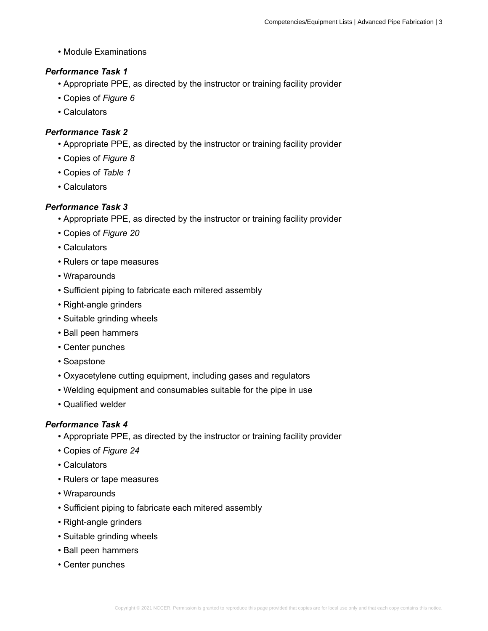• Module Examinations

### *Performance Task 1*

- Appropriate PPE, as directed by the instructor or training facility provider
- Copies of *Figure 6*
- Calculators

### *Performance Task 2*

- Appropriate PPE, as directed by the instructor or training facility provider
- Copies of *Figure 8*
- Copies of *Table 1*
- Calculators

### *Performance Task 3*

- Appropriate PPE, as directed by the instructor or training facility provider
- Copies of *Figure 20*
- Calculators
- Rulers or tape measures
- Wraparounds
- Sufficient piping to fabricate each mitered assembly
- Right-angle grinders
- Suitable grinding wheels
- Ball peen hammers
- Center punches
- Soapstone
- Oxyacetylene cutting equipment, including gases and regulators
- Welding equipment and consumables suitable for the pipe in use
- Qualified welder

- Appropriate PPE, as directed by the instructor or training facility provider
- Copies of *Figure 24*
- Calculators
- Rulers or tape measures
- Wraparounds
- Sufficient piping to fabricate each mitered assembly
- Right-angle grinders
- Suitable grinding wheels
- Ball peen hammers
- Center punches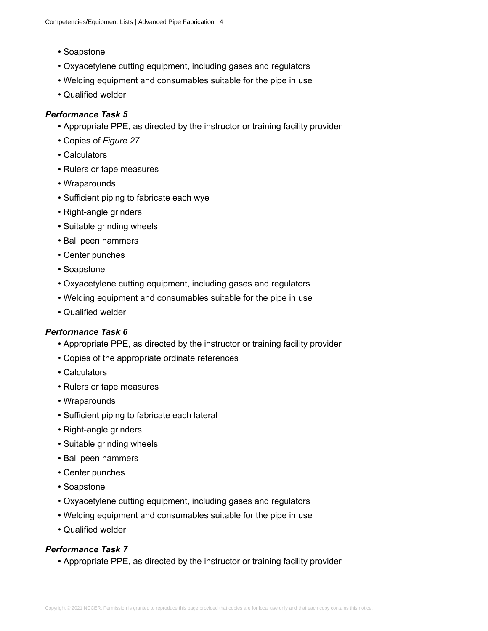- Soapstone
- Oxyacetylene cutting equipment, including gases and regulators
- Welding equipment and consumables suitable for the pipe in use
- Qualified welder

### *Performance Task 5*

- Appropriate PPE, as directed by the instructor or training facility provider
- Copies of *Figure 27*
- Calculators
- Rulers or tape measures
- Wraparounds
- Sufficient piping to fabricate each wye
- Right-angle grinders
- Suitable grinding wheels
- Ball peen hammers
- Center punches
- Soapstone
- Oxyacetylene cutting equipment, including gases and regulators
- Welding equipment and consumables suitable for the pipe in use
- Qualified welder

#### *Performance Task 6*

- Appropriate PPE, as directed by the instructor or training facility provider
- Copies of the appropriate ordinate references
- Calculators
- Rulers or tape measures
- Wraparounds
- Sufficient piping to fabricate each lateral
- Right-angle grinders
- Suitable grinding wheels
- Ball peen hammers
- Center punches
- Soapstone
- Oxyacetylene cutting equipment, including gases and regulators
- Welding equipment and consumables suitable for the pipe in use
- Qualified welder

### *Performance Task 7*

• Appropriate PPE, as directed by the instructor or training facility provider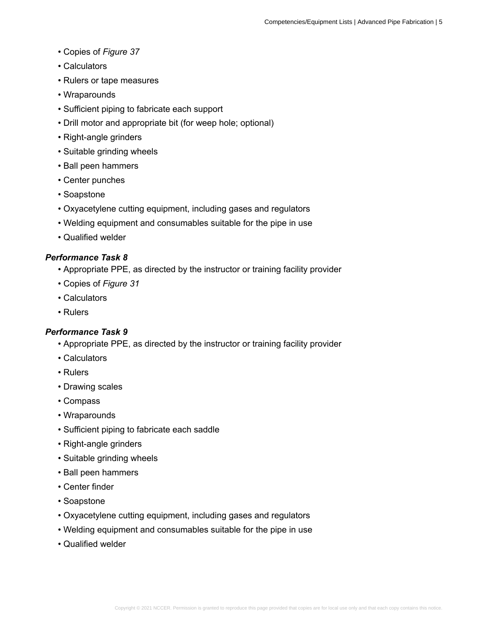- Copies of *Figure 37*
- Calculators
- Rulers or tape measures
- Wraparounds
- Sufficient piping to fabricate each support
- Drill motor and appropriate bit (for weep hole; optional)
- Right-angle grinders
- Suitable grinding wheels
- Ball peen hammers
- Center punches
- Soapstone
- Oxyacetylene cutting equipment, including gases and regulators
- Welding equipment and consumables suitable for the pipe in use
- Qualified welder

### *Performance Task 8*

- Appropriate PPE, as directed by the instructor or training facility provider
- Copies of *Figure 31*
- Calculators
- Rulers

- Appropriate PPE, as directed by the instructor or training facility provider
- Calculators
- Rulers
- Drawing scales
- Compass
- Wraparounds
- Sufficient piping to fabricate each saddle
- Right-angle grinders
- Suitable grinding wheels
- Ball peen hammers
- Center finder
- Soapstone
- Oxyacetylene cutting equipment, including gases and regulators
- Welding equipment and consumables suitable for the pipe in use
- Qualified welder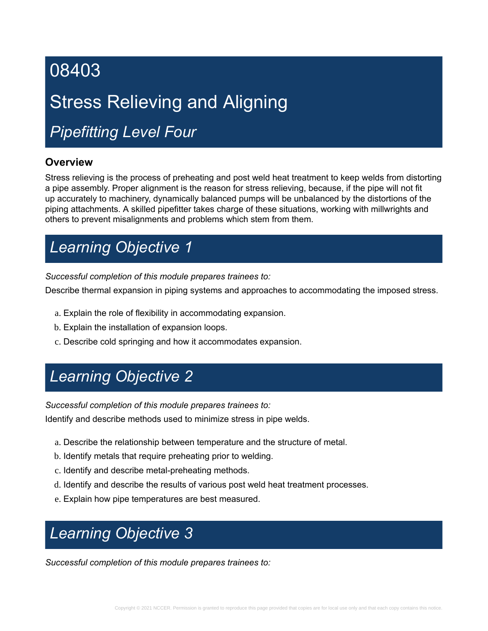# Stress Relieving and Aligning

# *Pipefitting Level Four*

### **Overview**

Stress relieving is the process of preheating and post weld heat treatment to keep welds from distorting a pipe assembly. Proper alignment is the reason for stress relieving, because, if the pipe will not fit up accurately to machinery, dynamically balanced pumps will be unbalanced by the distortions of the piping attachments. A skilled pipefitter takes charge of these situations, working with millwrights and others to prevent misalignments and problems which stem from them.

# *Learning Objective 1*

*Successful completion of this module prepares trainees to:*

Describe thermal expansion in piping systems and approaches to accommodating the imposed stress.

- a. Explain the role of flexibility in accommodating expansion.
- b. Explain the installation of expansion loops.
- c. Describe cold springing and how it accommodates expansion.

# *Learning Objective 2*

*Successful completion of this module prepares trainees to:*

Identify and describe methods used to minimize stress in pipe welds.

- a. Describe the relationship between temperature and the structure of metal.
- b. Identify metals that require preheating prior to welding.
- c. Identify and describe metal-preheating methods.
- d. Identify and describe the results of various post weld heat treatment processes.
- e. Explain how pipe temperatures are best measured.

# *Learning Objective 3*

*Successful completion of this module prepares trainees to:*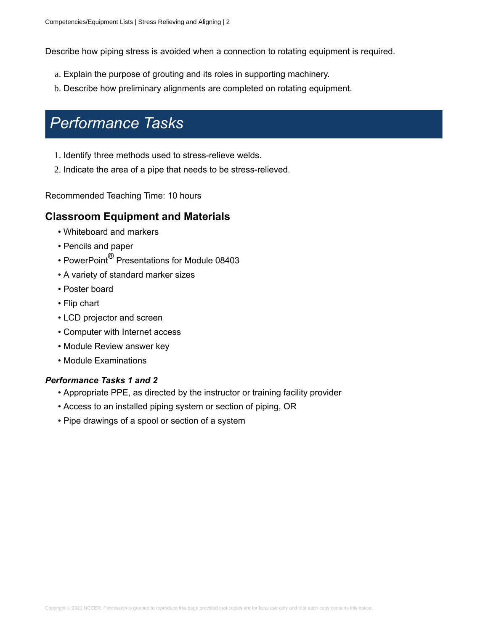Describe how piping stress is avoided when a connection to rotating equipment is required.

- a. Explain the purpose of grouting and its roles in supporting machinery.
- b. Describe how preliminary alignments are completed on rotating equipment.

### *Performance Tasks*

- 1. Identify three methods used to stress-relieve welds.
- 2. Indicate the area of a pipe that needs to be stress-relieved.

Recommended Teaching Time: 10 hours

### **Classroom Equipment and Materials**

- Whiteboard and markers
- Pencils and paper
- $\bullet$  PowerPoint $^\circledR$  Presentations for Module 08403
- A variety of standard marker sizes
- Poster board
- Flip chart
- LCD projector and screen
- Computer with Internet access
- Module Review answer key
- Module Examinations

#### *Performance Tasks 1 and 2*

- Appropriate PPE, as directed by the instructor or training facility provider
- Access to an installed piping system or section of piping, OR
- Pipe drawings of a spool or section of a system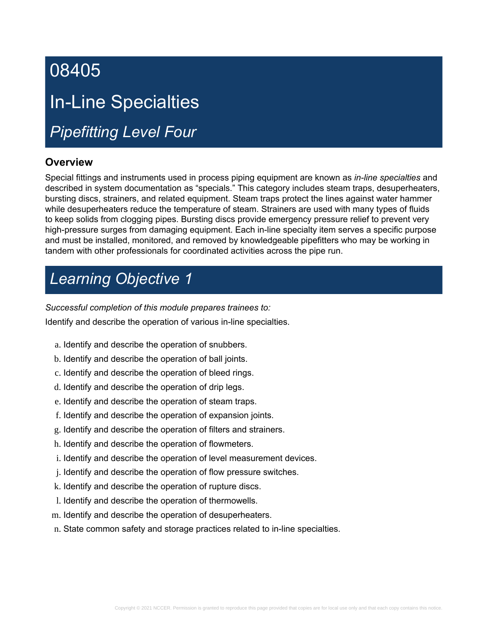# 08405 In-Line Specialties

# *Pipefitting Level Four*

### **Overview**

Special fittings and instruments used in process piping equipment are known as *in-line specialties* and described in system documentation as "specials." This category includes steam traps, desuperheaters, bursting discs, strainers, and related equipment. Steam traps protect the lines against water hammer while desuperheaters reduce the temperature of steam. Strainers are used with many types of fluids to keep solids from clogging pipes. Bursting discs provide emergency pressure relief to prevent very high-pressure surges from damaging equipment. Each in-line specialty item serves a specific purpose and must be installed, monitored, and removed by knowledgeable pipefitters who may be working in tandem with other professionals for coordinated activities across the pipe run.

# *Learning Objective 1*

*Successful completion of this module prepares trainees to:*

Identify and describe the operation of various in-line specialties.

- a. Identify and describe the operation of snubbers.
- b. Identify and describe the operation of ball joints.
- c. Identify and describe the operation of bleed rings.
- d. Identify and describe the operation of drip legs.
- e. Identify and describe the operation of steam traps.
- f. Identify and describe the operation of expansion joints.
- g. Identify and describe the operation of filters and strainers.
- h. Identify and describe the operation of flowmeters.
- i. Identify and describe the operation of level measurement devices.
- j. Identify and describe the operation of flow pressure switches.
- k. Identify and describe the operation of rupture discs.
- l. Identify and describe the operation of thermowells.
- m. Identify and describe the operation of desuperheaters.
- n. State common safety and storage practices related to in-line specialties.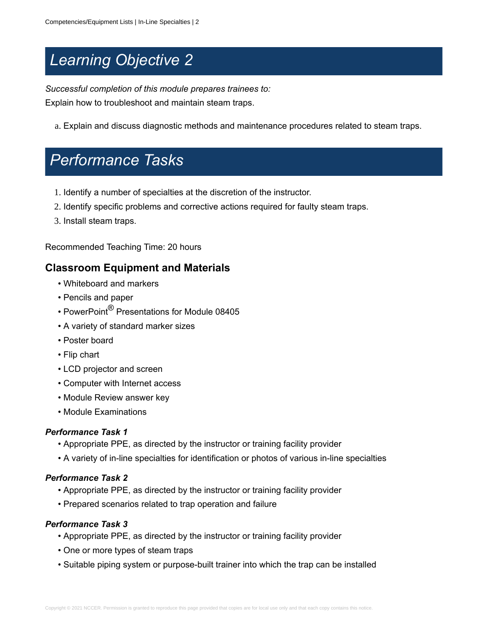# *Learning Objective 2*

*Successful completion of this module prepares trainees to:* Explain how to troubleshoot and maintain steam traps.

a. Explain and discuss diagnostic methods and maintenance procedures related to steam traps.

## *Performance Tasks*

- 1. Identify a number of specialties at the discretion of the instructor.
- 2. Identify specific problems and corrective actions required for faulty steam traps.
- 3. Install steam traps.

Recommended Teaching Time: 20 hours

### **Classroom Equipment and Materials**

- Whiteboard and markers
- Pencils and paper
- $\bullet$  PowerPoint $^\circledR$  Presentations for Module 08405
- A variety of standard marker sizes
- Poster board
- Flip chart
- LCD projector and screen
- Computer with Internet access
- Module Review answer key
- Module Examinations

### *Performance Task 1*

- Appropriate PPE, as directed by the instructor or training facility provider
- A variety of in-line specialties for identification or photos of various in-line specialties

### *Performance Task 2*

- Appropriate PPE, as directed by the instructor or training facility provider
- Prepared scenarios related to trap operation and failure

- Appropriate PPE, as directed by the instructor or training facility provider
- One or more types of steam traps
- Suitable piping system or purpose-built trainer into which the trap can be installed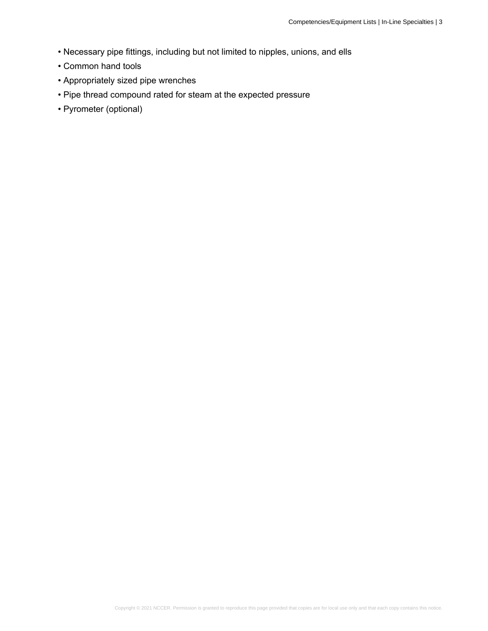- Necessary pipe fittings, including but not limited to nipples, unions, and ells
- Common hand tools
- Appropriately sized pipe wrenches
- Pipe thread compound rated for steam at the expected pressure
- Pyrometer (optional)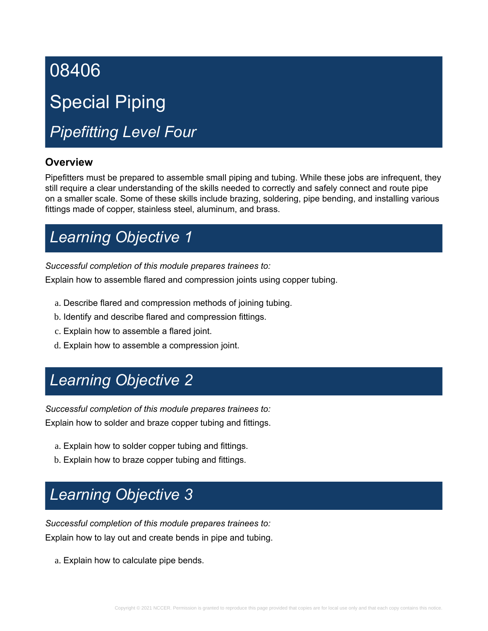# Special Piping

# *Pipefitting Level Four*

### **Overview**

Pipefitters must be prepared to assemble small piping and tubing. While these jobs are infrequent, they still require a clear understanding of the skills needed to correctly and safely connect and route pipe on a smaller scale. Some of these skills include brazing, soldering, pipe bending, and installing various fittings made of copper, stainless steel, aluminum, and brass.

# *Learning Objective 1*

*Successful completion of this module prepares trainees to:*

Explain how to assemble flared and compression joints using copper tubing.

- a. Describe flared and compression methods of joining tubing.
- b. Identify and describe flared and compression fittings.
- c. Explain how to assemble a flared joint.
- d. Explain how to assemble a compression joint.

# *Learning Objective 2*

*Successful completion of this module prepares trainees to:* Explain how to solder and braze copper tubing and fittings.

- a. Explain how to solder copper tubing and fittings.
- b. Explain how to braze copper tubing and fittings.

# *Learning Objective 3*

*Successful completion of this module prepares trainees to:* Explain how to lay out and create bends in pipe and tubing.

a. Explain how to calculate pipe bends.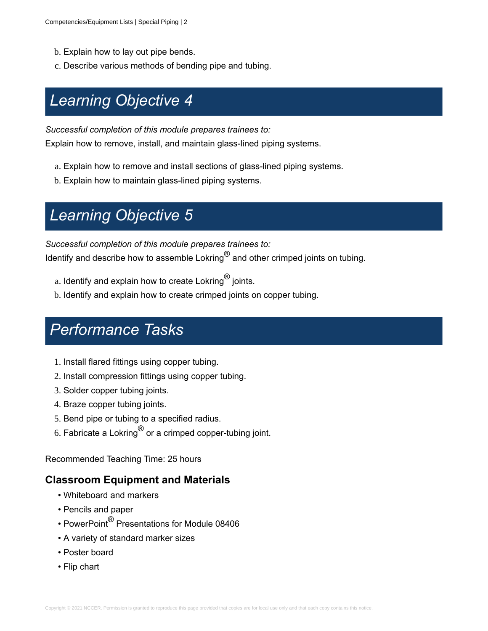- b. Explain how to lay out pipe bends.
- c. Describe various methods of bending pipe and tubing.

# *Learning Objective 4*

*Successful completion of this module prepares trainees to:*

Explain how to remove, install, and maintain glass-lined piping systems.

- a. Explain how to remove and install sections of glass-lined piping systems.
- b. Explain how to maintain glass-lined piping systems.

# *Learning Objective 5*

*Successful completion of this module prepares trainees to:* Identify and describe how to assemble Lokring $^{\circledR}$  and other crimped joints on tubing.

- $\rm{a.}$  Identify and explain how to create Lokring $\rm{^{\circledR}}$  joints.
- b. Identify and explain how to create crimped joints on copper tubing.

### *Performance Tasks*

- 1. Install flared fittings using copper tubing.
- 2. Install compression fittings using copper tubing.
- 3. Solder copper tubing joints.
- 4. Braze copper tubing joints.
- 5. Bend pipe or tubing to a specified radius.
- 6. Fabricate a Lokring $^\circledR$  or a crimped copper-tubing joint.

Recommended Teaching Time: 25 hours

### **Classroom Equipment and Materials**

- Whiteboard and markers
- Pencils and paper
- PowerPoint ${}^{\circledR}$  Presentations for Module 08406
- A variety of standard marker sizes
- Poster board
- Flip chart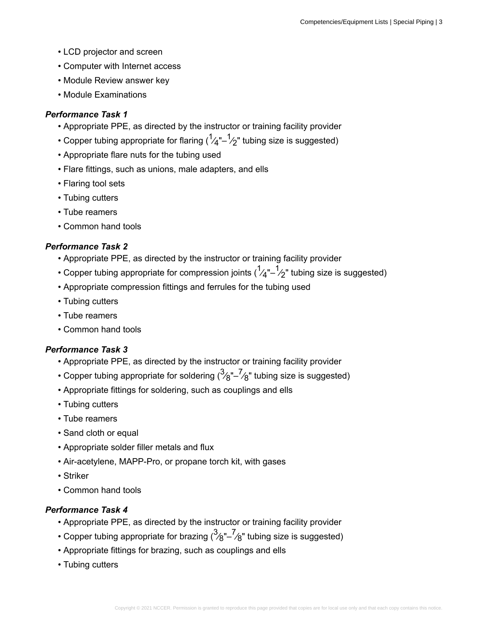- LCD projector and screen
- Computer with Internet access
- Module Review answer key
- Module Examinations

### *Performance Task 1*

- Appropriate PPE, as directed by the instructor or training facility provider
- $\bullet$  Copper tubing appropriate for flaring ( ${}^1\!\!{\cal A}^{\mathrm{u}}\!\!-\!\!{}^1\!\!\mathrel{{\cal L}}$ " tubing size is suggested)
- Appropriate flare nuts for the tubing used
- Flare fittings, such as unions, male adapters, and ells
- Flaring tool sets
- Tubing cutters
- Tube reamers
- Common hand tools

### *Performance Task 2*

- Appropriate PPE, as directed by the instructor or training facility provider
- Copper tubing appropriate for compression joints ( ${}^1\!\!{\cal A}^{\text{u}}\!\!-\!\!{}^1\!\!{\cal Z}^{\text{v}}$  tubing size is suggested)
- Appropriate compression fittings and ferrules for the tubing used
- Tubing cutters
- Tube reamers
- Common hand tools

### *Performance Task 3*

- Appropriate PPE, as directed by the instructor or training facility provider
- $\bullet$  Copper tubing appropriate for soldering  $(^3\!\!/_{\text{g}}\!''\!-\! \!/_{\text{g}}$ " tubing size is suggested)
- Appropriate fittings for soldering, such as couplings and ells
- Tubing cutters
- Tube reamers
- Sand cloth or equal
- Appropriate solder filler metals and flux
- Air-acetylene, MAPP-Pro, or propane torch kit, with gases
- Striker
- Common hand tools

- Appropriate PPE, as directed by the instructor or training facility provider
- $\bullet$  Copper tubing appropriate for brazing  $(^3\!/_{\rm 8}$ "– $^7\!/_{\rm 8}$ " tubing size is suggested)
- Appropriate fittings for brazing, such as couplings and ells
- Tubing cutters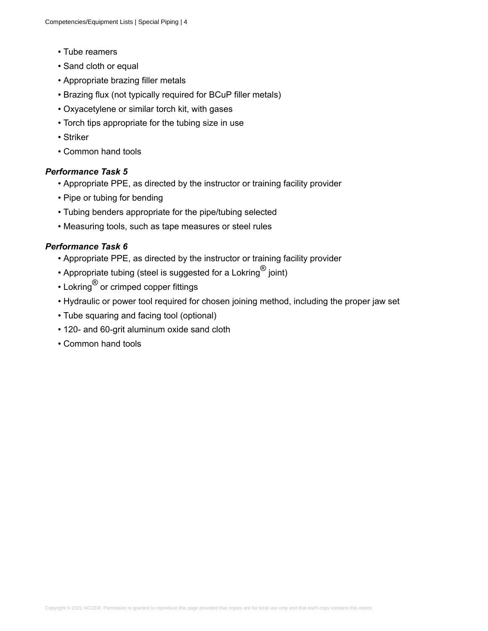- Tube reamers
- Sand cloth or equal
- Appropriate brazing filler metals
- Brazing flux (not typically required for BCuP filler metals)
- Oxyacetylene or similar torch kit, with gases
- Torch tips appropriate for the tubing size in use
- Striker
- Common hand tools

### *Performance Task 5*

- Appropriate PPE, as directed by the instructor or training facility provider
- Pipe or tubing for bending
- Tubing benders appropriate for the pipe/tubing selected
- Measuring tools, such as tape measures or steel rules

- Appropriate PPE, as directed by the instructor or training facility provider
- $\bullet$  Appropriate tubing (steel is suggested for a Lokring $^\circledR$  joint)
- $\bm{\cdot}$  Lokring $^{\circledR}$  or crimped copper fittings
- Hydraulic or power tool required for chosen joining method, including the proper jaw set
- Tube squaring and facing tool (optional)
- 120- and 60-grit aluminum oxide sand cloth
- Common hand tools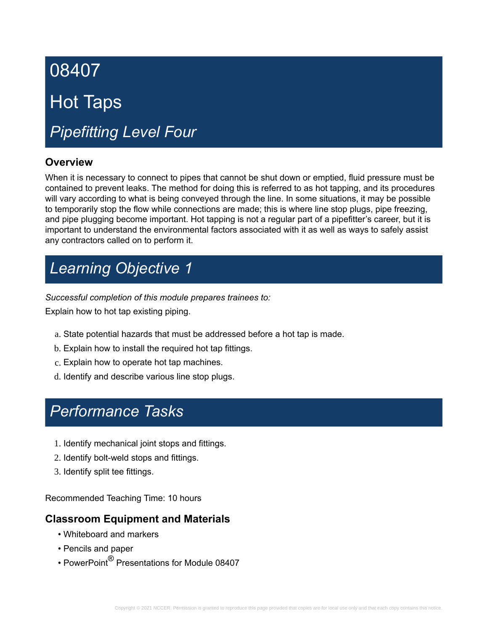# 08407 Hot Taps *Pipefitting Level Four*

### **Overview**

When it is necessary to connect to pipes that cannot be shut down or emptied, fluid pressure must be contained to prevent leaks. The method for doing this is referred to as hot tapping, and its procedures will vary according to what is being conveyed through the line. In some situations, it may be possible to temporarily stop the flow while connections are made; this is where line stop plugs, pipe freezing, and pipe plugging become important. Hot tapping is not a regular part of a pipefitter's career, but it is important to understand the environmental factors associated with it as well as ways to safely assist any contractors called on to perform it.

# *Learning Objective 1*

*Successful completion of this module prepares trainees to:*

Explain how to hot tap existing piping.

- a. State potential hazards that must be addressed before a hot tap is made.
- b. Explain how to install the required hot tap fittings.
- c. Explain how to operate hot tap machines.
- d. Identify and describe various line stop plugs.

# *Performance Tasks*

- 1. Identify mechanical joint stops and fittings.
- 2. Identify bolt-weld stops and fittings.
- 3. Identify split tee fittings.

Recommended Teaching Time: 10 hours

### **Classroom Equipment and Materials**

- Whiteboard and markers
- Pencils and paper
- $\bullet$  PowerPoint $^\circledR$  Presentations for Module 08407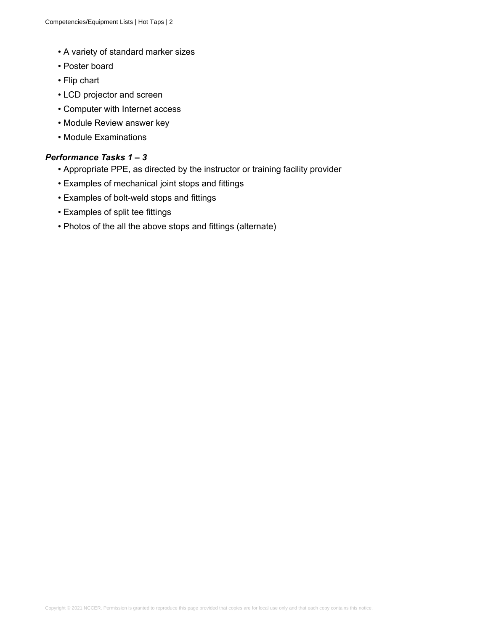- A variety of standard marker sizes
- Poster board
- Flip chart
- LCD projector and screen
- Computer with Internet access
- Module Review answer key
- Module Examinations

### *Performance Tasks 1 – 3*

- Appropriate PPE, as directed by the instructor or training facility provider
- Examples of mechanical joint stops and fittings
- Examples of bolt-weld stops and fittings
- Examples of split tee fittings
- Photos of the all the above stops and fittings (alternate)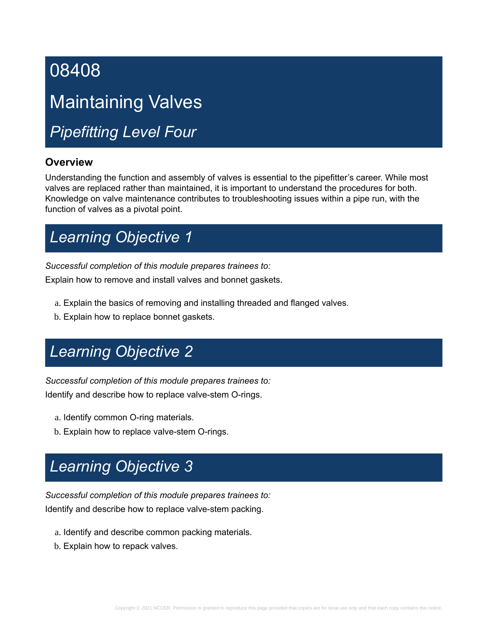# Maintaining Valves

*Pipefitting Level Four*

### **Overview**

Understanding the function and assembly of valves is essential to the pipefitter's career. While most valves are replaced rather than maintained, it is important to understand the procedures for both. Knowledge on valve maintenance contributes to troubleshooting issues within a pipe run, with the function of valves as a pivotal point.

# *Learning Objective 1*

*Successful completion of this module prepares trainees to:*

Explain how to remove and install valves and bonnet gaskets.

- a. Explain the basics of removing and installing threaded and flanged valves.
- b. Explain how to replace bonnet gaskets.

# *Learning Objective 2*

*Successful completion of this module prepares trainees to:* Identify and describe how to replace valve-stem O-rings.

- a. Identify common O-ring materials.
- b. Explain how to replace valve-stem O-rings.

# *Learning Objective 3*

*Successful completion of this module prepares trainees to:* Identify and describe how to replace valve-stem packing.

- a. Identify and describe common packing materials.
- b. Explain how to repack valves.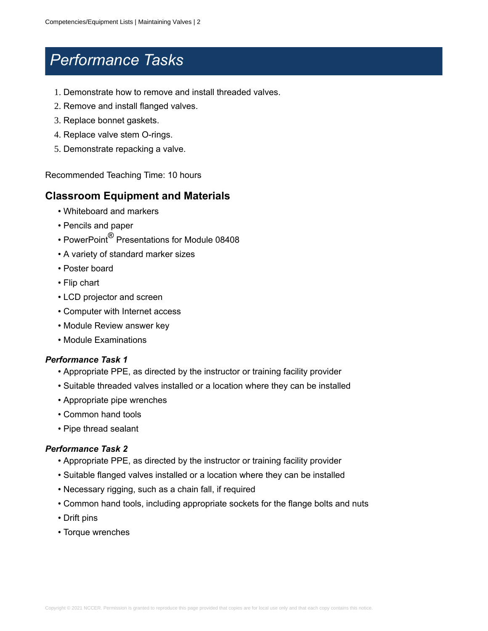### *Performance Tasks*

- 1. Demonstrate how to remove and install threaded valves.
- 2. Remove and install flanged valves.
- 3. Replace bonnet gaskets.
- 4. Replace valve stem O-rings.
- 5. Demonstrate repacking a valve.

Recommended Teaching Time: 10 hours

### **Classroom Equipment and Materials**

- Whiteboard and markers
- Pencils and paper
- $\bullet$  PowerPoint $^\circledR$  Presentations for Module 08408
- A variety of standard marker sizes
- Poster board
- Flip chart
- LCD projector and screen
- Computer with Internet access
- Module Review answer key
- Module Examinations

#### *Performance Task 1*

- Appropriate PPE, as directed by the instructor or training facility provider
- Suitable threaded valves installed or a location where they can be installed
- Appropriate pipe wrenches
- Common hand tools
- Pipe thread sealant

- Appropriate PPE, as directed by the instructor or training facility provider
- Suitable flanged valves installed or a location where they can be installed
- Necessary rigging, such as a chain fall, if required
- Common hand tools, including appropriate sockets for the flange bolts and nuts
- Drift pins
- Torque wrenches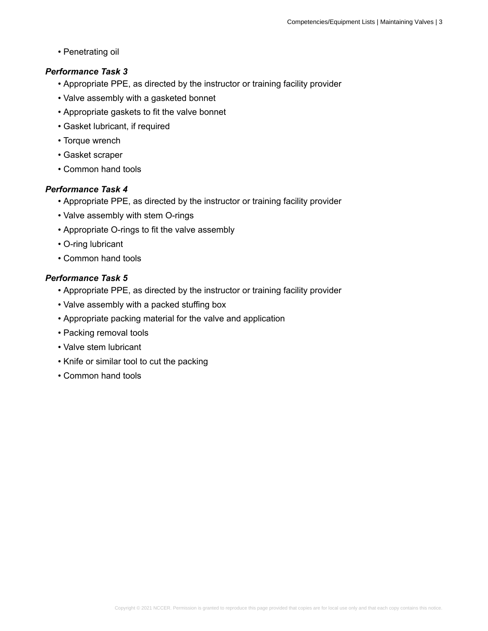• Penetrating oil

### *Performance Task 3*

- Appropriate PPE, as directed by the instructor or training facility provider
- Valve assembly with a gasketed bonnet
- Appropriate gaskets to fit the valve bonnet
- Gasket lubricant, if required
- Torque wrench
- Gasket scraper
- Common hand tools

### *Performance Task 4*

- Appropriate PPE, as directed by the instructor or training facility provider
- Valve assembly with stem O-rings
- Appropriate O-rings to fit the valve assembly
- O-ring lubricant
- Common hand tools

- Appropriate PPE, as directed by the instructor or training facility provider
- Valve assembly with a packed stuffing box
- Appropriate packing material for the valve and application
- Packing removal tools
- Valve stem lubricant
- Knife or similar tool to cut the packing
- Common hand tools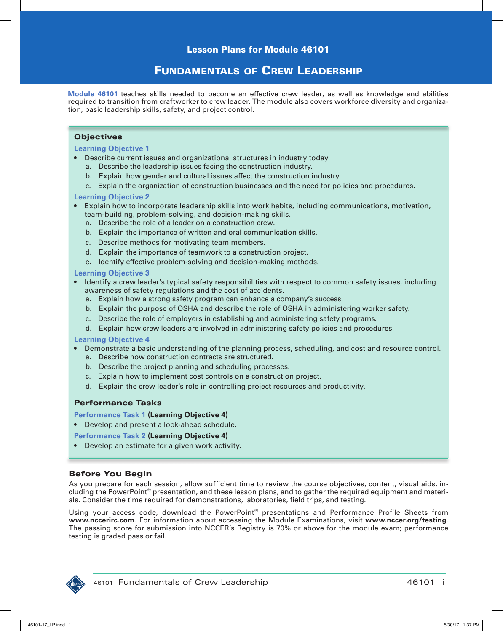### Fundamentals oF Crew leadership

**Module 46101** teaches skills needed to become an effective crew leader, as well as knowledge and abilities required to transition from craftworker to crew leader. The module also covers workforce diversity and organization, basic leadership skills, safety, and project control.

#### **Objectives**

#### **Learning Objective 1**

- Describe current issues and organizational structures in industry today.
	- a. Describe the leadership issues facing the construction industry.
	- b. Explain how gender and cultural issues affect the construction industry.
	- c. Explain the organization of construction businesses and the need for policies and procedures.

#### **Learning Objective 2**

- Explain how to incorporate leadership skills into work habits, including communications, motivation, team-building, problem-solving, and decision-making skills.
	- a. Describe the role of a leader on a construction crew.
	- b. Explain the importance of written and oral communication skills.
	- c. Describe methods for motivating team members.
	- d. Explain the importance of teamwork to a construction project.
	- e. Identify effective problem-solving and decision-making methods.

#### **Learning Objective 3**

- Identify a crew leader's typical safety responsibilities with respect to common safety issues, including awareness of safety regulations and the cost of accidents.
	- a. Explain how a strong safety program can enhance a company's success.
	- b. Explain the purpose of OSHA and describe the role of OSHA in administering worker safety.
	- c. Describe the role of employers in establishing and administering safety programs.
	- d. Explain how crew leaders are involved in administering safety policies and procedures.

#### **Learning Objective 4**

- Demonstrate a basic understanding of the planning process, scheduling, and cost and resource control.
	- a. Describe how construction contracts are structured.
	- b. Describe the project planning and scheduling processes.
	- c. Explain how to implement cost controls on a construction project.
	- d. Explain the crew leader's role in controlling project resources and productivity.

#### Performance Tasks

- **Performance Task 1 (Learning Objective 4)**
- Develop and present a look-ahead schedule.

#### **Performance Task 2 (Learning Objective 4)**

• Develop an estimate for a given work activity.

#### Before You Begin

As you prepare for each session, allow sufficient time to review the course objectives, content, visual aids, including the PowerPoint® presentation, and these lesson plans, and to gather the required equipment and materials. Consider the time required for demonstrations, laboratories, field trips, and testing.

Using your access code, download the PowerPoint® presentations and Performance Profile Sheets from **www.nccerirc.com**. For information about accessing the Module Examinations, visit **www.nccer.org/testing**. The passing score for submission into NCCER's Registry is 70% or above for the module exam; performance testing is graded pass or fail.

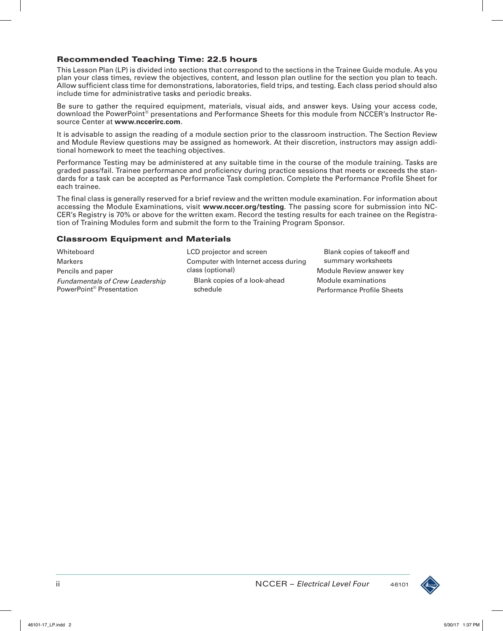### Recommended Teaching Time: 22.5 hours

This Lesson Plan (LP) is divided into sections that correspond to the sections in the Trainee Guide module. As you plan your class times, review the objectives, content, and lesson plan outline for the section you plan to teach. Allow sufficient class time for demonstrations, laboratories, field trips, and testing. Each class period should also include time for administrative tasks and periodic breaks.

Be sure to gather the required equipment, materials, visual aids, and answer keys. Using your access code, download the PowerPoint® presentations and Performance Sheets for this module from NCCER's Instructor Resource Center at **www.nccerirc.com**.

It is advisable to assign the reading of a module section prior to the classroom instruction. The Section Review and Module Review questions may be assigned as homework. At their discretion, instructors may assign additional homework to meet the teaching objectives.

Performance Testing may be administered at any suitable time in the course of the module training. Tasks are graded pass/fail. Trainee performance and proficiency during practice sessions that meets or exceeds the standards for a task can be accepted as Performance Task completion. Complete the Performance Profile Sheet for each trainee.

The final class is generally reserved for a brief review and the written module examination. For information about accessing the Module Examinations, visit **www.nccer.org/testing**. The passing score for submission into NC-CER's Registry is 70% or above for the written exam. Record the testing results for each trainee on the Registration of Training Modules form and submit the form to the Training Program Sponsor.

### Classroom Equipment and Materials

| Whiteboard                                                                     | LCD projector and screen                 | Blank copies of takeoff and                              |
|--------------------------------------------------------------------------------|------------------------------------------|----------------------------------------------------------|
| <b>Markers</b>                                                                 | Computer with Internet access during     | summary worksheets                                       |
| Pencils and paper                                                              | class (optional)                         | Module Review answer key                                 |
| <b>Fundamentals of Crew Leadership</b><br>PowerPoint <sup>®</sup> Presentation | Blank copies of a look-ahead<br>schedule | Module examinations<br><b>Performance Profile Sheets</b> |